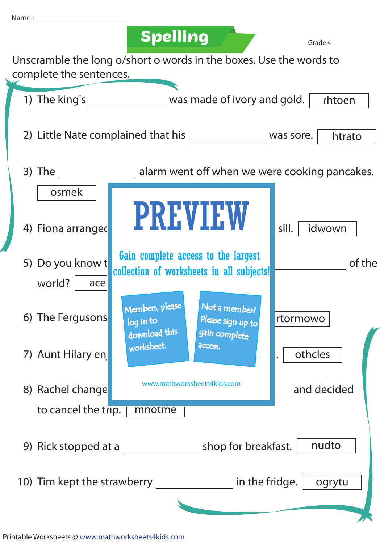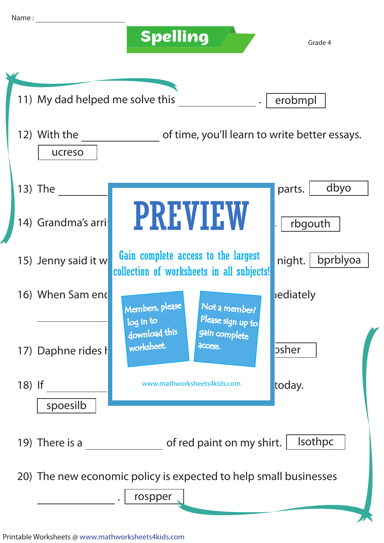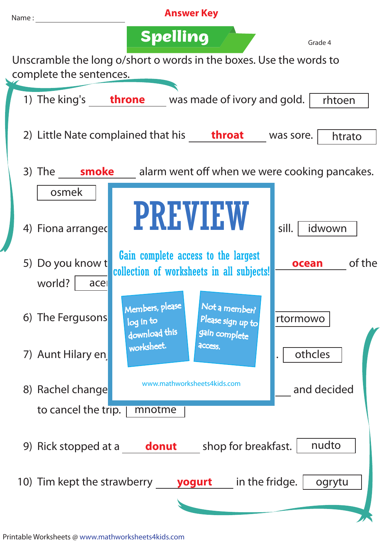